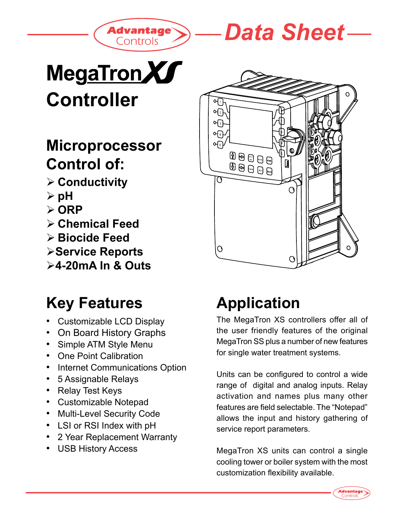



# MegaTronXI **Controller**

### **Microprocessor Control of:**

- **Conductivity**
- **pH**
- **▷ ORP**
- **Chemical Feed**
- **Biocide Feed**
- **Service Reports**
- **4-20mA In & Outs**

## **Key Features**

- Customizable LCD Display
- On Board History Graphs
- Simple ATM Style Menu
- One Point Calibration
- Internet Communications Option
- 5 Assignable Relays
- Relay Test Keys
- Customizable Notepad
- Multi-Level Security Code
- LSI or RSI Index with pH
- 2 Year Replacement Warranty
- USB History Access



# **Application**

The MegaTron XS controllers offer all of the user friendly features of the original MegaTron SS plus a number of new features for single water treatment systems.

Units can be configured to control a wide range of digital and analog inputs. Relay activation and names plus many other features are field selectable. The "Notepad" allows the input and history gathering of service report parameters.

MegaTron XS units can control a single cooling tower or boiler system with the most customization flexibility available.